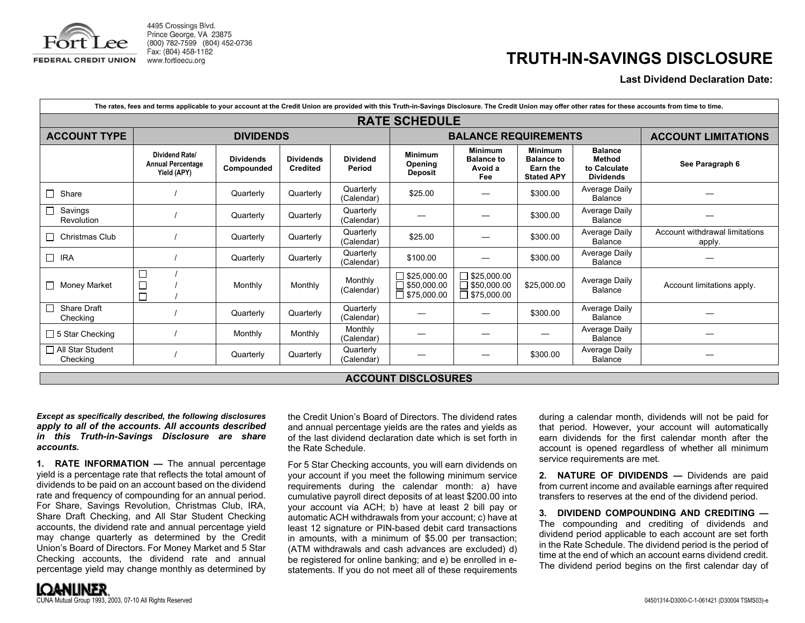

4495 Crossings Blvd. Prince George, VA 23875 (800) 782-7599 (804) 452-0736 Fax: (804) 458-1182 www.fortleecu.org

## **TRUTH-IN-SAVINGS DISCLOSURE**

## **Last Dividend Declaration Date:**

| The rates, fees and terms applicable to your account at the Credit Union are provided with this Truth-in-Savings Disclosure. The Credit Union may offer other rates for these accounts from time to time. |                                                                  |                                |                                     |                           |                                                                |                                                                |                                                                      |                                                                     |                                          |
|-----------------------------------------------------------------------------------------------------------------------------------------------------------------------------------------------------------|------------------------------------------------------------------|--------------------------------|-------------------------------------|---------------------------|----------------------------------------------------------------|----------------------------------------------------------------|----------------------------------------------------------------------|---------------------------------------------------------------------|------------------------------------------|
| <b>RATE SCHEDULE</b>                                                                                                                                                                                      |                                                                  |                                |                                     |                           |                                                                |                                                                |                                                                      |                                                                     |                                          |
| <b>ACCOUNT TYPE</b>                                                                                                                                                                                       | <b>DIVIDENDS</b>                                                 |                                |                                     |                           | <b>BALANCE REQUIREMENTS</b>                                    |                                                                |                                                                      |                                                                     | <b>ACCOUNT LIMITATIONS</b>               |
|                                                                                                                                                                                                           | <b>Dividend Ratel</b><br><b>Annual Percentage</b><br>Yield (APY) | <b>Dividends</b><br>Compounded | <b>Dividends</b><br><b>Credited</b> | <b>Dividend</b><br>Period | <b>Minimum</b><br>Opening<br><b>Deposit</b>                    | <b>Minimum</b><br><b>Balance to</b><br>Avoid a<br>Fee          | <b>Minimum</b><br><b>Balance to</b><br>Earn the<br><b>Stated APY</b> | <b>Balance</b><br><b>Method</b><br>to Calculate<br><b>Dividends</b> | See Paragraph 6                          |
| $\Box$<br>Share                                                                                                                                                                                           |                                                                  | Quarterly                      | Quarterly                           | Quarterly<br>(Calendar)   | \$25.00                                                        |                                                                | \$300.00                                                             | Average Daily<br><b>Balance</b>                                     |                                          |
| Savings<br>$\Box$<br>Revolution                                                                                                                                                                           |                                                                  | Quarterly                      | Quarterly                           | Quarterly<br>(Calendar)   |                                                                |                                                                | \$300.00                                                             | <b>Average Daily</b><br>Balance                                     |                                          |
| Christmas Club<br>$\Box$                                                                                                                                                                                  |                                                                  | Quarterly                      | Quarterly                           | Quarterly<br>(Calendar)   | \$25.00                                                        |                                                                | \$300.00                                                             | Average Daily<br><b>Balance</b>                                     | Account withdrawal limitations<br>apply. |
| $\Box$ IRA                                                                                                                                                                                                |                                                                  | Quarterly                      | Quarterly                           | Quarterly<br>(Calendar)   | \$100.00                                                       |                                                                | \$300.00                                                             | <b>Average Daily</b><br><b>Balance</b>                              |                                          |
| $\Box$ Money Market                                                                                                                                                                                       | $\Box$<br>$\Box$<br>$\Box$                                       | Monthly                        | Monthly                             | Monthly<br>(Calendar)     | $\Box$ \$25,000.00<br>$\Box$ \$50,000.00<br>$\Box$ \$75,000.00 | $\Box$ \$25,000.00<br>$\Box$ \$50,000.00<br>$\Box$ \$75,000.00 | \$25,000.00                                                          | <b>Average Daily</b><br><b>Balance</b>                              | Account limitations apply.               |
| <b>Share Draft</b><br>$\Box$<br>Checking                                                                                                                                                                  |                                                                  | Quarterly                      | Quarterly                           | Quarterly<br>(Calendar)   |                                                                |                                                                | \$300.00                                                             | <b>Average Daily</b><br><b>Balance</b>                              |                                          |
| $\Box$ 5 Star Checking                                                                                                                                                                                    |                                                                  | Monthly                        | Monthly                             | Monthly<br>(Calendar)     |                                                                |                                                                |                                                                      | Average Daily<br><b>Balance</b>                                     |                                          |
| □ All Star Student<br>Checking                                                                                                                                                                            |                                                                  | Quarterly                      | Quarterly                           | Quarterly<br>(Calendar)   |                                                                |                                                                | \$300.00                                                             | <b>Average Daily</b><br>Balance                                     |                                          |

## **ACCOUNT DISCLOSURES**

*Except as specifically described, the following disclosures apply to all of the accounts. All accounts described in this Truth-in-Savings Disclosure are share accounts.* 

**1. RATE INFORMATION —** The annual percentage yield is a percentage rate that reflects the total amount of dividends to be paid on an account based on the dividend rate and frequency of compounding for an annual period. For Share, Savings Revolution, Christmas Club, IRA, Share Draft Checking, and All Star Student Checking accounts, the dividend rate and annual percentage yield may change quarterly as determined by the Credit Union's Board of Directors. For Money Market and 5 Star Checking accounts, the dividend rate and annual percentage yield may change monthly as determined by the Credit Union's Board of Directors. The dividend rates and annual percentage yields are the rates and yields as of the last dividend declaration date which is set forth in the Rate Schedule.

For 5 Star Checking accounts, you will earn dividends on your account if you meet the following minimum service requirements during the calendar month: a) have cumulative payroll direct deposits of at least \$200.00 into your account via ACH; b) have at least 2 bill pay or automatic ACH withdrawals from your account; c) have at least 12 signature or PIN-based debit card transactions in amounts, with a minimum of \$5.00 per transaction; (ATM withdrawals and cash advances are excluded) d) be registered for online banking; and e) be enrolled in estatements. If you do not meet all of these requirements

during a calendar month, dividends will not be paid for that period. However, your account will automatically earn dividends for the first calendar month after the account is opened regardless of whether all minimum service requirements are met.

**2. NATURE OF DIVIDENDS —** Dividends are paid from current income and available earnings after required transfers to reserves at the end of the dividend period.

**3. DIVIDEND COMPOUNDING AND CREDITING —** The compounding and crediting of dividends and dividend period applicable to each account are set forth in the Rate Schedule. The dividend period is the period of time at the end of which an account earns dividend credit. The dividend period begins on the first calendar day of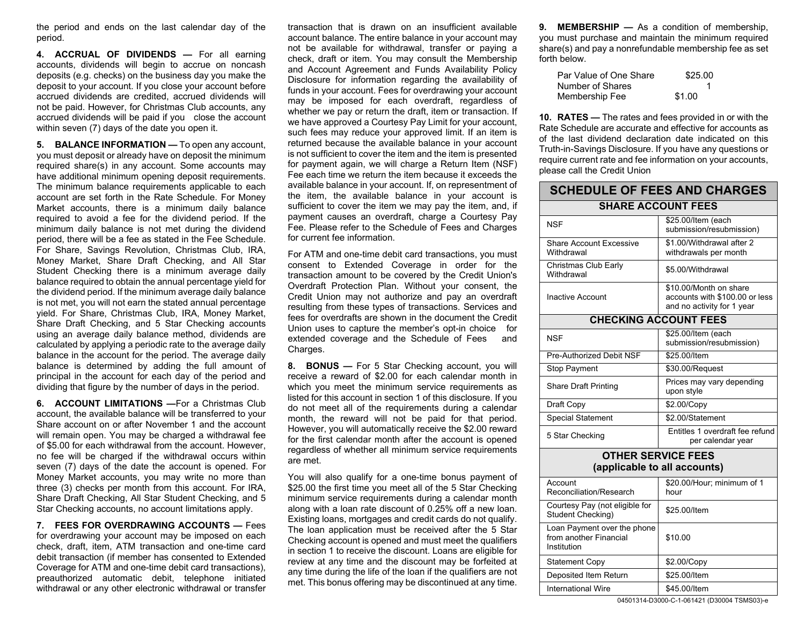the period and ends on the last calendar day of the period.

**4. ACCRUAL OF DIVIDENDS —** For all earning accounts, dividends will begin to accrue on noncash deposits (e.g. checks) on the business day you make the deposit to your account. If you close your account before accrued dividends are credited, accrued dividends will not be paid. However, for Christmas Club accounts, any accrued dividends will be paid if you close the account within seven (7) days of the date you open it.

**5. BALANCE INFORMATION —** To open any account, you must deposit or already have on deposit the minimum required share(s) in any account. Some accounts may have additional minimum opening deposit requirements. The minimum balance requirements applicable to each account are set forth in the Rate Schedule. For Money Market accounts, there is a minimum daily balance required to avoid a fee for the dividend period. If the minimum daily balance is not met during the dividend period, there will be a fee as stated in the Fee Schedule. For Share, Savings Revolution, Christmas Club, IRA, Money Market, Share Draft Checking, and All Star Student Checking there is a minimum average daily balance required to obtain the annual percentage yield for the dividend period. If the minimum average daily balance is not met, you will not earn the stated annual percentage yield. For Share, Christmas Club, IRA, Money Market, Share Draft Checking, and 5 Star Checking accounts using an average daily balance method, dividends are calculated by applying a periodic rate to the average daily balance in the account for the period. The average daily balance is determined by adding the full amount of principal in the account for each day of the period and dividing that figure by the number of days in the period.

**6. ACCOUNT LIMITATIONS —**For a Christmas Club account, the available balance will be transferred to your Share account on or after November 1 and the account will remain open. You may be charged a withdrawal fee of \$5.00 for each withdrawal from the account. However, no fee will be charged if the withdrawal occurs within seven (7) days of the date the account is opened. For Money Market accounts, you may write no more than three (3) checks per month from this account. For IRA, Share Draft Checking, All Star Student Checking, and 5 Star Checking accounts, no account limitations apply.

**7. FEES FOR OVERDRAWING ACCOUNTS —** Fees for overdrawing your account may be imposed on each check, draft, item, ATM transaction and one-time card debit transaction (if member has consented to Extended Coverage for ATM and one-time debit card transactions), preauthorized automatic debit, telephone initiated withdrawal or any other electronic withdrawal or transfer transaction that is drawn on an insufficient available account balance. The entire balance in your account may not be available for withdrawal, transfer or paying a check, draft or item. You may consult the Membership and Account Agreement and Funds Availability Policy Disclosure for information regarding the availability of funds in your account. Fees for overdrawing your account may be imposed for each overdraft, regardless of whether we pay or return the draft, item or transaction. If we have approved a Courtesy Pay Limit for your account, such fees may reduce your approved limit. If an item is returned because the available balance in your account is not sufficient to cover the item and the item is presented for payment again, we will charge a Return Item (NSF) Fee each time we return the item because it exceeds the available balance in your account. If, on representment of the item, the available balance in your account is sufficient to cover the item we may pay the item, and, if payment causes an overdraft, charge a Courtesy Pay Fee. Please refer to the Schedule of Fees and Charges for current fee information.

For ATM and one-time debit card transactions, you must consent to Extended Coverage in order for the transaction amount to be covered by the Credit Union's Overdraft Protection Plan. Without your consent, the Credit Union may not authorize and pay an overdraft resulting from these types of transactions. Services and fees for overdrafts are shown in the document the Credit Union uses to capture the member's opt-in choice for extended coverage and the Schedule of Fees and Charges.

**8. BONUS —** For 5 Star Checking account, you will receive a reward of \$2.00 for each calendar month in which you meet the minimum service requirements as listed for this account in section 1 of this disclosure. If you do not meet all of the requirements during a calendar month, the reward will not be paid for that period. However, you will automatically receive the \$2.00 reward for the first calendar month after the account is opened regardless of whether all minimum service requirements are met.

You will also qualify for a one-time bonus payment of \$25.00 the first time you meet all of the 5 Star Checking minimum service requirements during a calendar month along with a loan rate discount of 0.25% off a new loan. Existing loans, mortgages and credit cards do not qualify. The loan application must be received after the 5 Star Checking account is opened and must meet the qualifiers in section 1 to receive the discount. Loans are eligible for review at any time and the discount may be forfeited at any time during the life of the loan if the qualifiers are not met. This bonus offering may be discontinued at any time.

**9. MEMBERSHIP —** As a condition of membership, you must purchase and maintain the minimum required share(s) and pay a nonrefundable membership fee as set forth below.

| Par Value of One Share | \$25.00 |
|------------------------|---------|
| Number of Shares       |         |
| Membership Fee         | \$1.00  |

**10. RATES —** The rates and fees provided in or with the Rate Schedule are accurate and effective for accounts as of the last dividend declaration date indicated on this Truth-in-Savings Disclosure. If you have any questions or require current rate and fee information on your accounts, please call the Credit Union

| <b>SCHEDULE OF FEES AND CHARGES</b>                                  |                                                                                        |  |  |  |  |
|----------------------------------------------------------------------|----------------------------------------------------------------------------------------|--|--|--|--|
| <b>SHARE ACCOUNT FEES</b>                                            |                                                                                        |  |  |  |  |
| <b>NSF</b>                                                           | \$25.00/Item (each<br>submission/resubmission)                                         |  |  |  |  |
| <b>Share Account Excessive</b><br>Withdrawal                         | \$1.00/Withdrawal after 2<br>withdrawals per month                                     |  |  |  |  |
| Christmas Club Early<br>Withdrawal                                   | \$5.00/Withdrawal                                                                      |  |  |  |  |
| <b>Inactive Account</b>                                              | \$10.00/Month on share<br>accounts with \$100.00 or less<br>and no activity for 1 year |  |  |  |  |
| <b>CHECKING ACCOUNT FEES</b>                                         |                                                                                        |  |  |  |  |
| <b>NSF</b>                                                           | \$25.00/Item (each<br>submission/resubmission)                                         |  |  |  |  |
| Pre-Authorized Debit NSF                                             | \$25.00/Item                                                                           |  |  |  |  |
| <b>Stop Payment</b>                                                  | \$30.00/Request                                                                        |  |  |  |  |
| <b>Share Draft Printing</b>                                          | Prices may vary depending<br>upon style                                                |  |  |  |  |
| Draft Copy                                                           | \$2.00/Copy                                                                            |  |  |  |  |
| <b>Special Statement</b>                                             | \$2.00/Statement                                                                       |  |  |  |  |
| 5 Star Checking                                                      | Entitles 1 overdraft fee refund<br>per calendar year                                   |  |  |  |  |
| <b>OTHER SERVICE FEES</b>                                            |                                                                                        |  |  |  |  |
| (applicable to all accounts)                                         |                                                                                        |  |  |  |  |
| Account<br>Reconciliation/Research                                   | \$20.00/Hour; minimum of 1<br>hour                                                     |  |  |  |  |
| Courtesy Pay (not eligible for<br>Student Checking)                  | \$25.00/Item                                                                           |  |  |  |  |
| Loan Payment over the phone<br>from another Financial<br>Institution | \$10.00                                                                                |  |  |  |  |
| <b>Statement Copy</b>                                                | \$2.00/Copy                                                                            |  |  |  |  |
| Deposited Item Return                                                | \$25.00/Item                                                                           |  |  |  |  |
| <b>International Wire</b>                                            | \$45.00/Item                                                                           |  |  |  |  |

04501314-D3000-C-1-061421 (D30004 TSMS03)-e